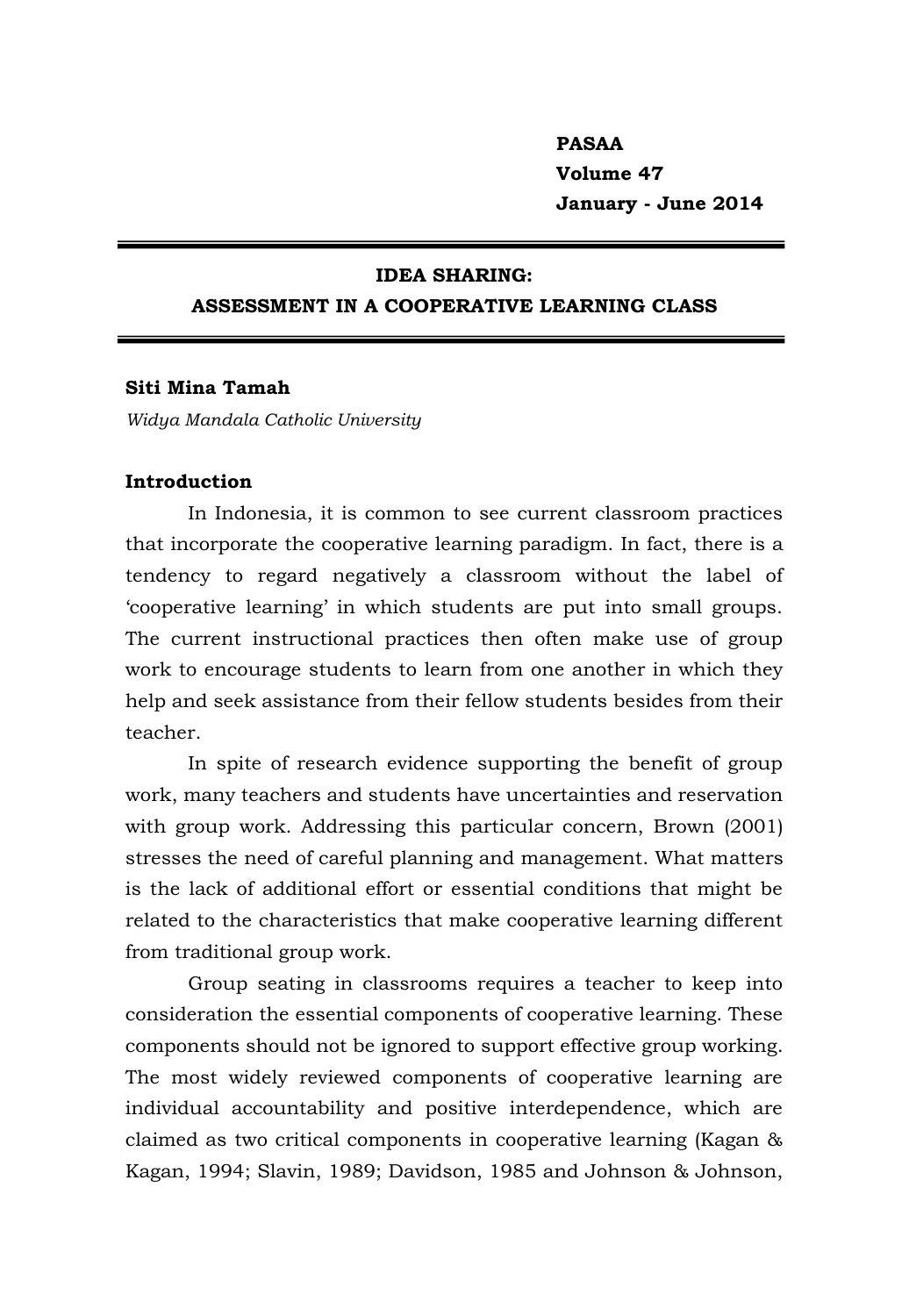# **PASAA Volume 47 January - June 2014**

#### **IDEA SHARING:**

# **ASSESSMENT IN A COOPERATIVE LEARNING CLASS**

#### **Siti Mina Tamah**

*Widya Mandala Catholic University*

# **Introduction**

In Indonesia, it is common to see current classroom practices that incorporate the cooperative learning paradigm. In fact, there is a tendency to regard negatively a classroom without the label of 'cooperative learning' in which students are put into small groups. The current instructional practices then often make use of group work to encourage students to learn from one another in which they help and seek assistance from their fellow students besides from their teacher.

In spite of research evidence supporting the benefit of group work, many teachers and students have uncertainties and reservation with group work. Addressing this particular concern, Brown (2001) stresses the need of careful planning and management. What matters is the lack of additional effort or essential conditions that might be related to the characteristics that make cooperative learning different from traditional group work.

Group seating in classrooms requires a teacher to keep into consideration the essential components of cooperative learning. These components should not be ignored to support effective group working. The most widely reviewed components of cooperative learning are individual accountability and positive interdependence, which are claimed as two critical components in cooperative learning (Kagan & Kagan, 1994; Slavin, 1989; Davidson, 1985 and Johnson & Johnson,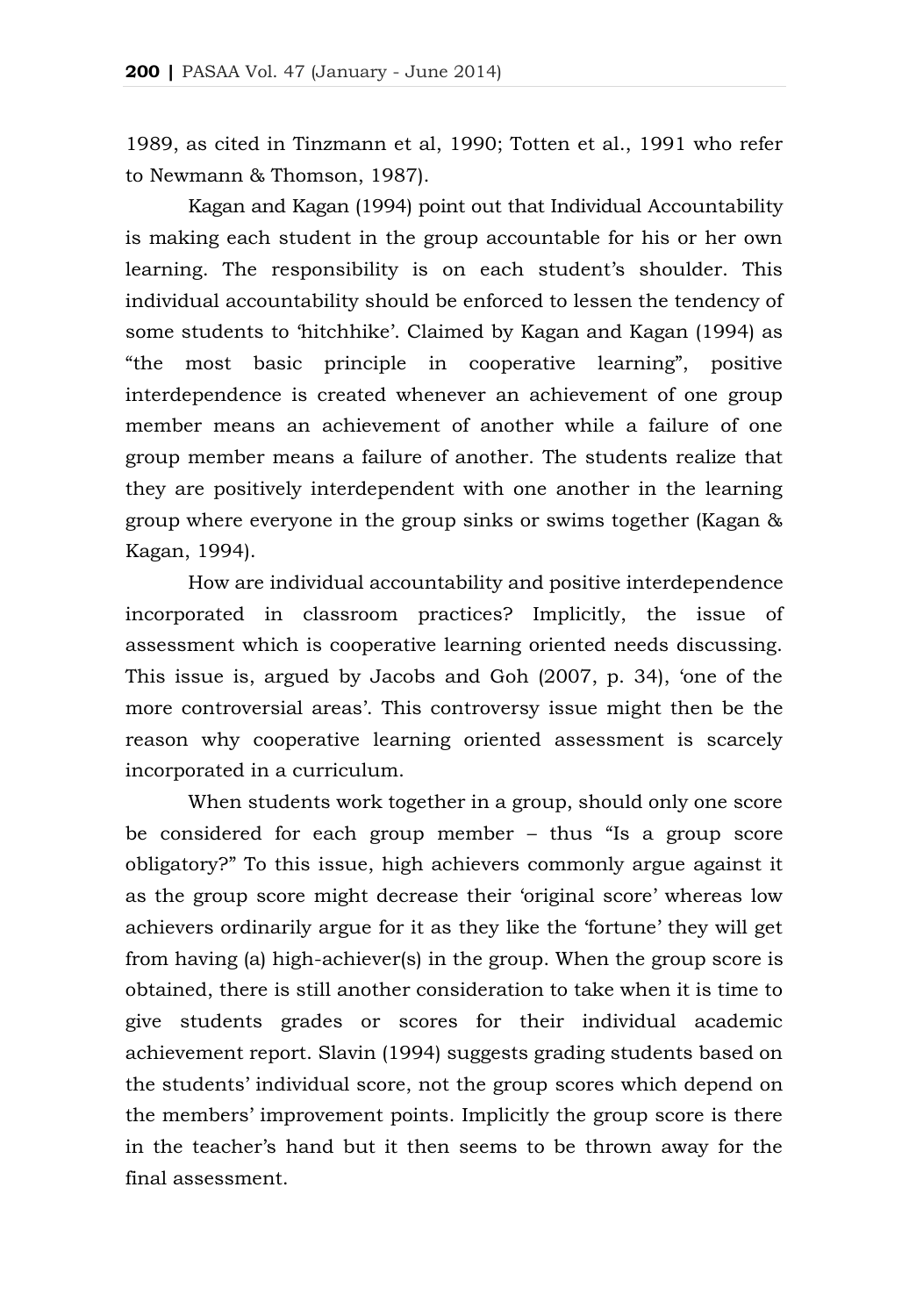1989, as cited in Tinzmann et al, 1990; Totten et al., 1991 who refer to Newmann & Thomson, 1987).

Kagan and Kagan (1994) point out that Individual Accountability is making each student in the group accountable for his or her own learning. The responsibility is on each student's shoulder. This individual accountability should be enforced to lessen the tendency of some students to 'hitchhike'. Claimed by Kagan and Kagan (1994) as "the most basic principle in cooperative learning", positive interdependence is created whenever an achievement of one group member means an achievement of another while a failure of one group member means a failure of another. The students realize that they are positively interdependent with one another in the learning group where everyone in the group sinks or swims together (Kagan & Kagan, 1994).

How are individual accountability and positive interdependence incorporated in classroom practices? Implicitly, the issue of assessment which is cooperative learning oriented needs discussing. This issue is, argued by Jacobs and Goh (2007, p. 34), 'one of the more controversial areas'. This controversy issue might then be the reason why cooperative learning oriented assessment is scarcely incorporated in a curriculum.

When students work together in a group, should only one score be considered for each group member – thus "Is a group score obligatory?" To this issue, high achievers commonly argue against it as the group score might decrease their 'original score' whereas low achievers ordinarily argue for it as they like the 'fortune' they will get from having (a) high-achiever(s) in the group. When the group score is obtained, there is still another consideration to take when it is time to give students grades or scores for their individual academic achievement report. Slavin (1994) suggests grading students based on the students' individual score, not the group scores which depend on the members' improvement points. Implicitly the group score is there in the teacher's hand but it then seems to be thrown away for the final assessment.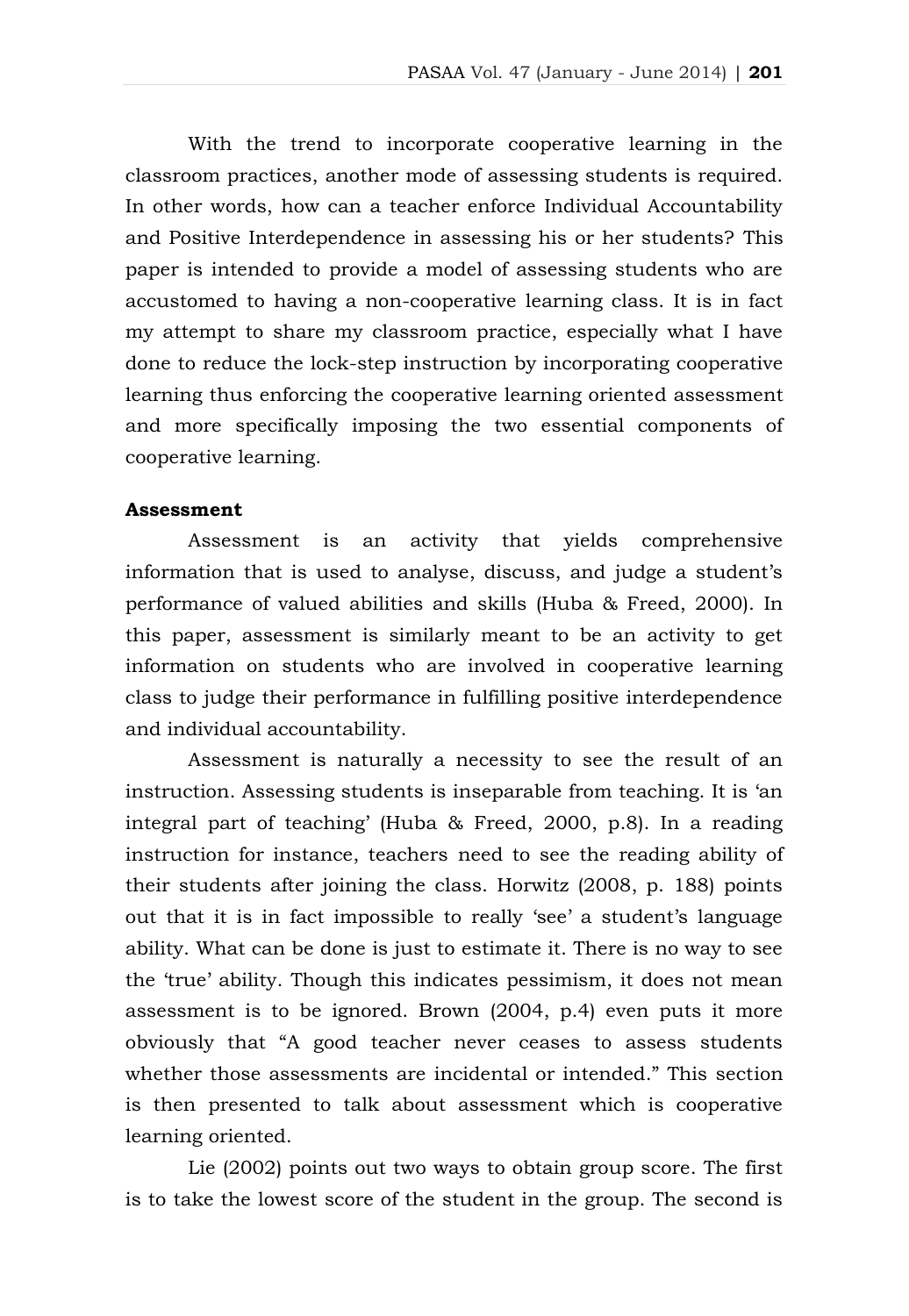With the trend to incorporate cooperative learning in the classroom practices, another mode of assessing students is required. In other words, how can a teacher enforce Individual Accountability and Positive Interdependence in assessing his or her students? This paper is intended to provide a model of assessing students who are accustomed to having a non-cooperative learning class. It is in fact my attempt to share my classroom practice, especially what I have done to reduce the lock-step instruction by incorporating cooperative learning thus enforcing the cooperative learning oriented assessment and more specifically imposing the two essential components of cooperative learning.

#### **Assessment**

Assessment is an activity that yields comprehensive information that is used to analyse, discuss, and judge a student's performance of valued abilities and skills (Huba & Freed, 2000). In this paper, assessment is similarly meant to be an activity to get information on students who are involved in cooperative learning class to judge their performance in fulfilling positive interdependence and individual accountability.

Assessment is naturally a necessity to see the result of an instruction. Assessing students is inseparable from teaching. It is 'an integral part of teaching' (Huba & Freed, 2000, p.8). In a reading instruction for instance, teachers need to see the reading ability of their students after joining the class. Horwitz (2008, p. 188) points out that it is in fact impossible to really 'see' a student's language ability. What can be done is just to estimate it. There is no way to see the 'true' ability. Though this indicates pessimism, it does not mean assessment is to be ignored. Brown (2004, p.4) even puts it more obviously that "A good teacher never ceases to assess students whether those assessments are incidental or intended." This section is then presented to talk about assessment which is cooperative learning oriented.

Lie (2002) points out two ways to obtain group score. The first is to take the lowest score of the student in the group. The second is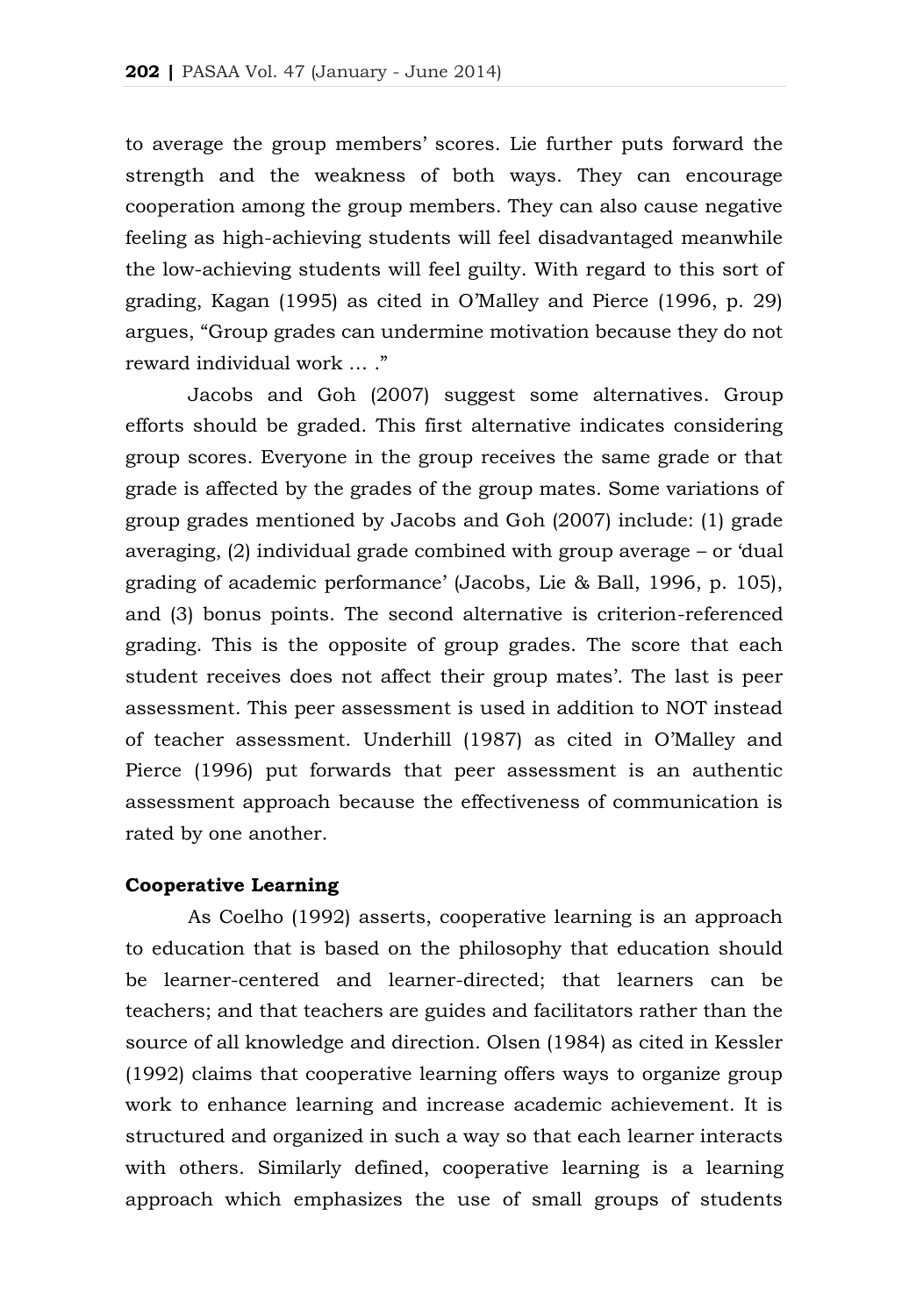to average the group members' scores. Lie further puts forward the strength and the weakness of both ways. They can encourage cooperation among the group members. They can also cause negative feeling as high-achieving students will feel disadvantaged meanwhile the low-achieving students will feel guilty. With regard to this sort of grading, Kagan (1995) as cited in O'Malley and Pierce (1996, p. 29) argues, "Group grades can undermine motivation because they do not reward individual work … ."

Jacobs and Goh (2007) suggest some alternatives. Group efforts should be graded. This first alternative indicates considering group scores. Everyone in the group receives the same grade or that grade is affected by the grades of the group mates. Some variations of group grades mentioned by Jacobs and Goh (2007) include: (1) grade averaging, (2) individual grade combined with group average – or 'dual grading of academic performance' (Jacobs, Lie & Ball, 1996, p. 105), and (3) bonus points. The second alternative is criterion-referenced grading. This is the opposite of group grades. The score that each student receives does not affect their group mates'. The last is peer assessment. This peer assessment is used in addition to NOT instead of teacher assessment. Underhill (1987) as cited in O'Malley and Pierce (1996) put forwards that peer assessment is an authentic assessment approach because the effectiveness of communication is rated by one another.

#### **Cooperative Learning**

As Coelho (1992) asserts, cooperative learning is an approach to education that is based on the philosophy that education should be learner-centered and learner-directed; that learners can be teachers; and that teachers are guides and facilitators rather than the source of all knowledge and direction. Olsen (1984) as cited in Kessler (1992) claims that cooperative learning offers ways to organize group work to enhance learning and increase academic achievement. It is structured and organized in such a way so that each learner interacts with others. Similarly defined, cooperative learning is a learning approach which emphasizes the use of small groups of students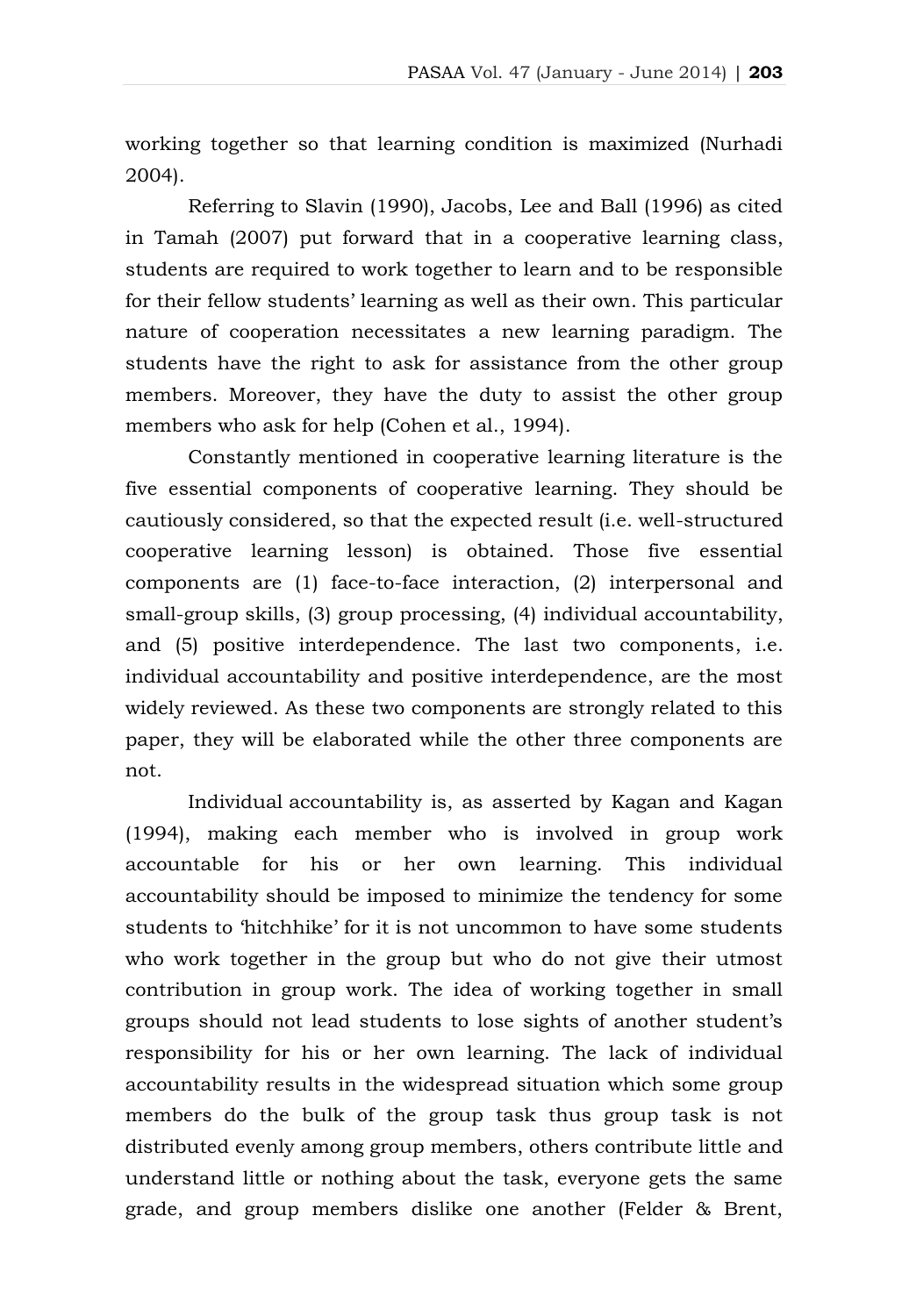working together so that learning condition is maximized (Nurhadi 2004).

Referring to Slavin (1990), Jacobs, Lee and Ball (1996) as cited in Tamah (2007) put forward that in a cooperative learning class, students are required to work together to learn and to be responsible for their fellow students' learning as well as their own. This particular nature of cooperation necessitates a new learning paradigm. The students have the right to ask for assistance from the other group members. Moreover, they have the duty to assist the other group members who ask for help (Cohen et al., 1994).

Constantly mentioned in cooperative learning literature is the five essential components of cooperative learning. They should be cautiously considered, so that the expected result (i.e. well-structured cooperative learning lesson) is obtained. Those five essential components are (1) face-to-face interaction, (2) interpersonal and small-group skills, (3) group processing, (4) individual accountability, and (5) positive interdependence. The last two components, i.e. individual accountability and positive interdependence, are the most widely reviewed. As these two components are strongly related to this paper, they will be elaborated while the other three components are not.

Individual accountability is, as asserted by Kagan and Kagan (1994), making each member who is involved in group work accountable for his or her own learning. This individual accountability should be imposed to minimize the tendency for some students to 'hitchhike' for it is not uncommon to have some students who work together in the group but who do not give their utmost contribution in group work. The idea of working together in small groups should not lead students to lose sights of another student's responsibility for his or her own learning. The lack of individual accountability results in the widespread situation which some group members do the bulk of the group task thus group task is not distributed evenly among group members, others contribute little and understand little or nothing about the task, everyone gets the same grade, and group members dislike one another (Felder & Brent,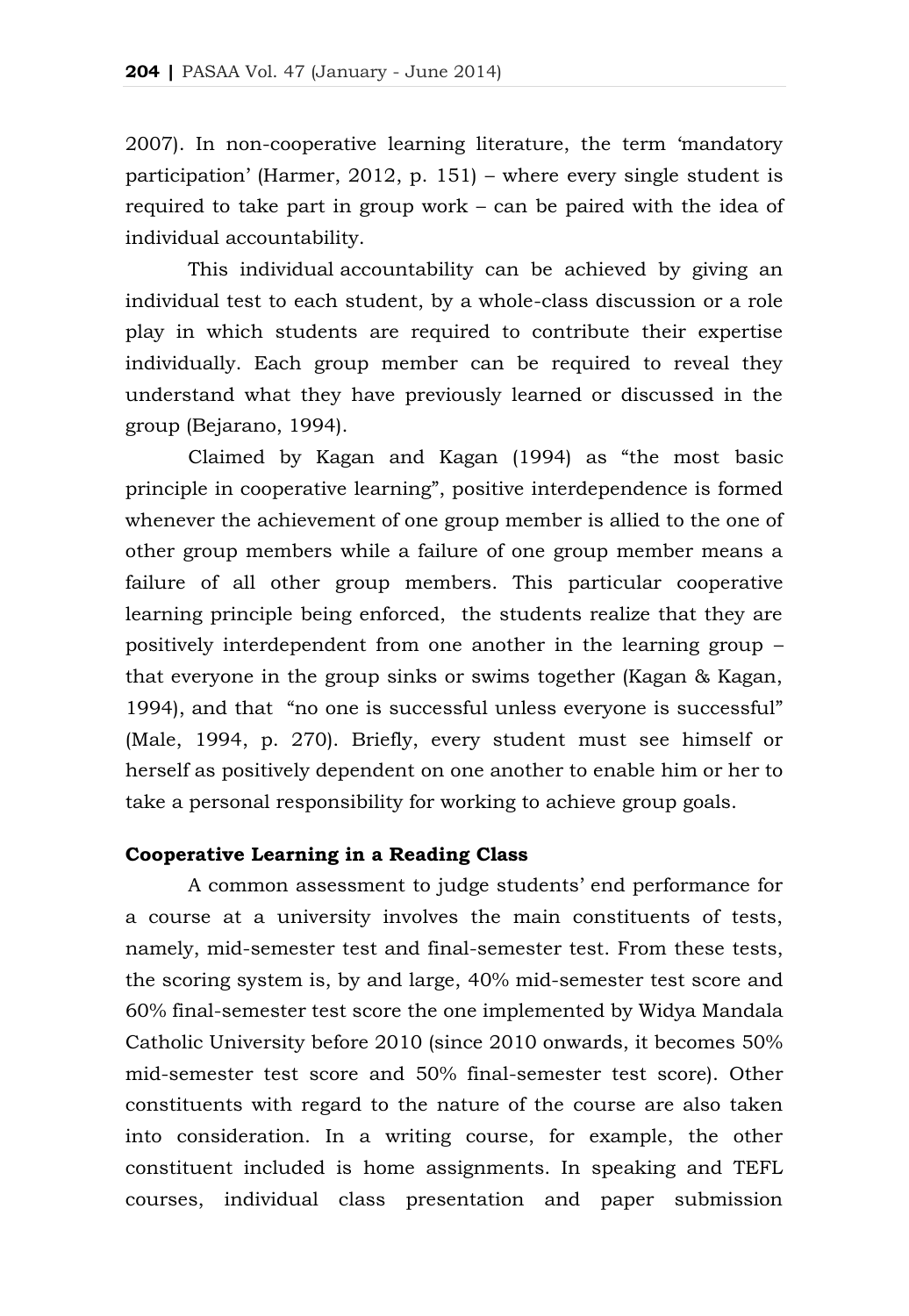2007). In non-cooperative learning literature, the term 'mandatory participation' (Harmer, 2012, p. 151) – where every single student is required to take part in group work – can be paired with the idea of individual accountability.

This individual accountability can be achieved by giving an individual test to each student, by a whole-class discussion or a role play in which students are required to contribute their expertise individually. Each group member can be required to reveal they understand what they have previously learned or discussed in the group (Bejarano, 1994).

Claimed by Kagan and Kagan (1994) as "the most basic principle in cooperative learning", positive interdependence is formed whenever the achievement of one group member is allied to the one of other group members while a failure of one group member means a failure of all other group members. This particular cooperative learning principle being enforced, the students realize that they are positively interdependent from one another in the learning group – that everyone in the group sinks or swims together (Kagan & Kagan, 1994), and that "no one is successful unless everyone is successful" (Male, 1994, p. 270). Briefly, every student must see himself or herself as positively dependent on one another to enable him or her to take a personal responsibility for working to achieve group goals.

# **Cooperative Learning in a Reading Class**

A common assessment to judge students' end performance for a course at a university involves the main constituents of tests, namely, mid-semester test and final-semester test. From these tests, the scoring system is, by and large, 40% mid-semester test score and 60% final-semester test score the one implemented by Widya Mandala Catholic University before 2010 (since 2010 onwards, it becomes 50% mid-semester test score and 50% final-semester test score). Other constituents with regard to the nature of the course are also taken into consideration. In a writing course, for example, the other constituent included is home assignments. In speaking and TEFL courses, individual class presentation and paper submission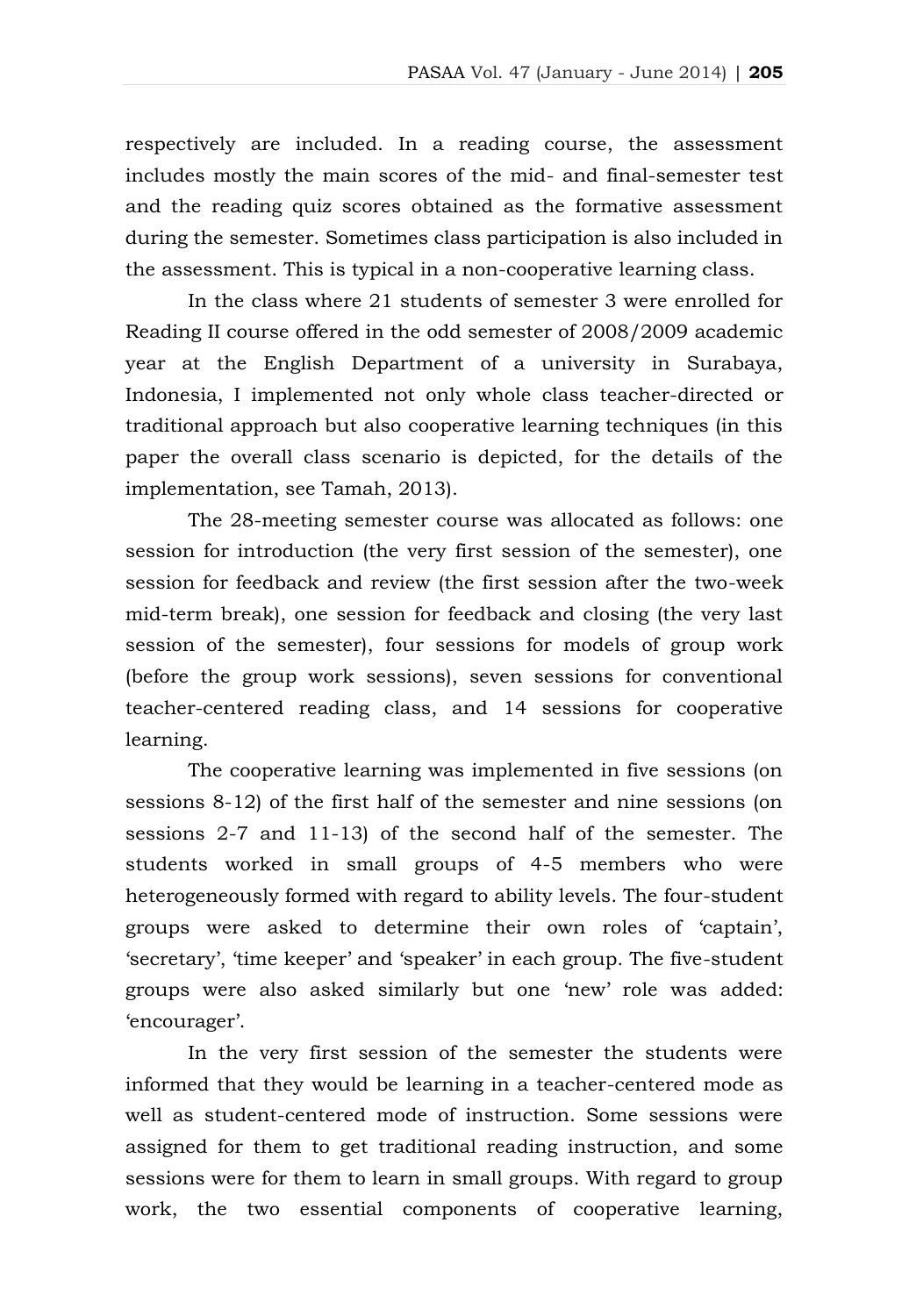respectively are included. In a reading course, the assessment includes mostly the main scores of the mid- and final-semester test and the reading quiz scores obtained as the formative assessment during the semester. Sometimes class participation is also included in the assessment. This is typical in a non-cooperative learning class.

In the class where 21 students of semester 3 were enrolled for Reading II course offered in the odd semester of 2008/2009 academic year at the English Department of a university in Surabaya, Indonesia, I implemented not only whole class teacher-directed or traditional approach but also cooperative learning techniques (in this paper the overall class scenario is depicted, for the details of the implementation, see Tamah, 2013).

The 28-meeting semester course was allocated as follows: one session for introduction (the very first session of the semester), one session for feedback and review (the first session after the two-week mid-term break), one session for feedback and closing (the very last session of the semester), four sessions for models of group work (before the group work sessions), seven sessions for conventional teacher-centered reading class, and 14 sessions for cooperative learning.

The cooperative learning was implemented in five sessions (on sessions 8-12) of the first half of the semester and nine sessions (on sessions 2-7 and 11-13) of the second half of the semester. The students worked in small groups of 4-5 members who were heterogeneously formed with regard to ability levels. The four-student groups were asked to determine their own roles of 'captain', 'secretary', 'time keeper' and 'speaker' in each group. The five-student groups were also asked similarly but one 'new' role was added: 'encourager'.

In the very first session of the semester the students were informed that they would be learning in a teacher-centered mode as well as student-centered mode of instruction. Some sessions were assigned for them to get traditional reading instruction, and some sessions were for them to learn in small groups. With regard to group work, the two essential components of cooperative learning,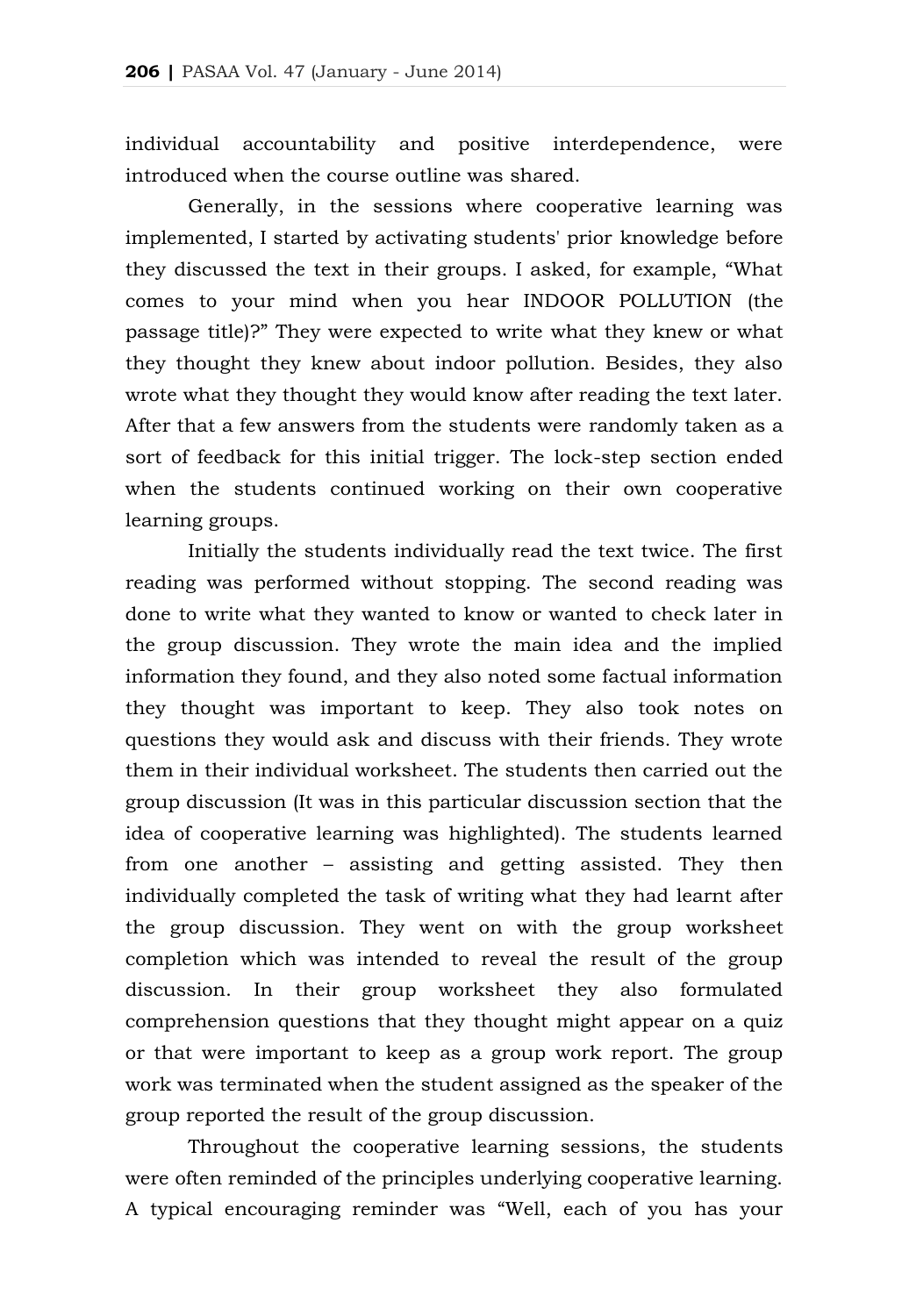individual accountability and positive interdependence, were introduced when the course outline was shared.

Generally, in the sessions where cooperative learning was implemented, I started by activating students' prior knowledge before they discussed the text in their groups. I asked, for example, "What comes to your mind when you hear INDOOR POLLUTION (the passage title)?" They were expected to write what they knew or what they thought they knew about indoor pollution. Besides, they also wrote what they thought they would know after reading the text later. After that a few answers from the students were randomly taken as a sort of feedback for this initial trigger. The lock-step section ended when the students continued working on their own cooperative learning groups.

Initially the students individually read the text twice. The first reading was performed without stopping. The second reading was done to write what they wanted to know or wanted to check later in the group discussion. They wrote the main idea and the implied information they found, and they also noted some factual information they thought was important to keep. They also took notes on questions they would ask and discuss with their friends. They wrote them in their individual worksheet. The students then carried out the group discussion (It was in this particular discussion section that the idea of cooperative learning was highlighted). The students learned from one another – assisting and getting assisted. They then individually completed the task of writing what they had learnt after the group discussion. They went on with the group worksheet completion which was intended to reveal the result of the group discussion. In their group worksheet they also formulated comprehension questions that they thought might appear on a quiz or that were important to keep as a group work report. The group work was terminated when the student assigned as the speaker of the group reported the result of the group discussion.

Throughout the cooperative learning sessions, the students were often reminded of the principles underlying cooperative learning. A typical encouraging reminder was "Well, each of you has your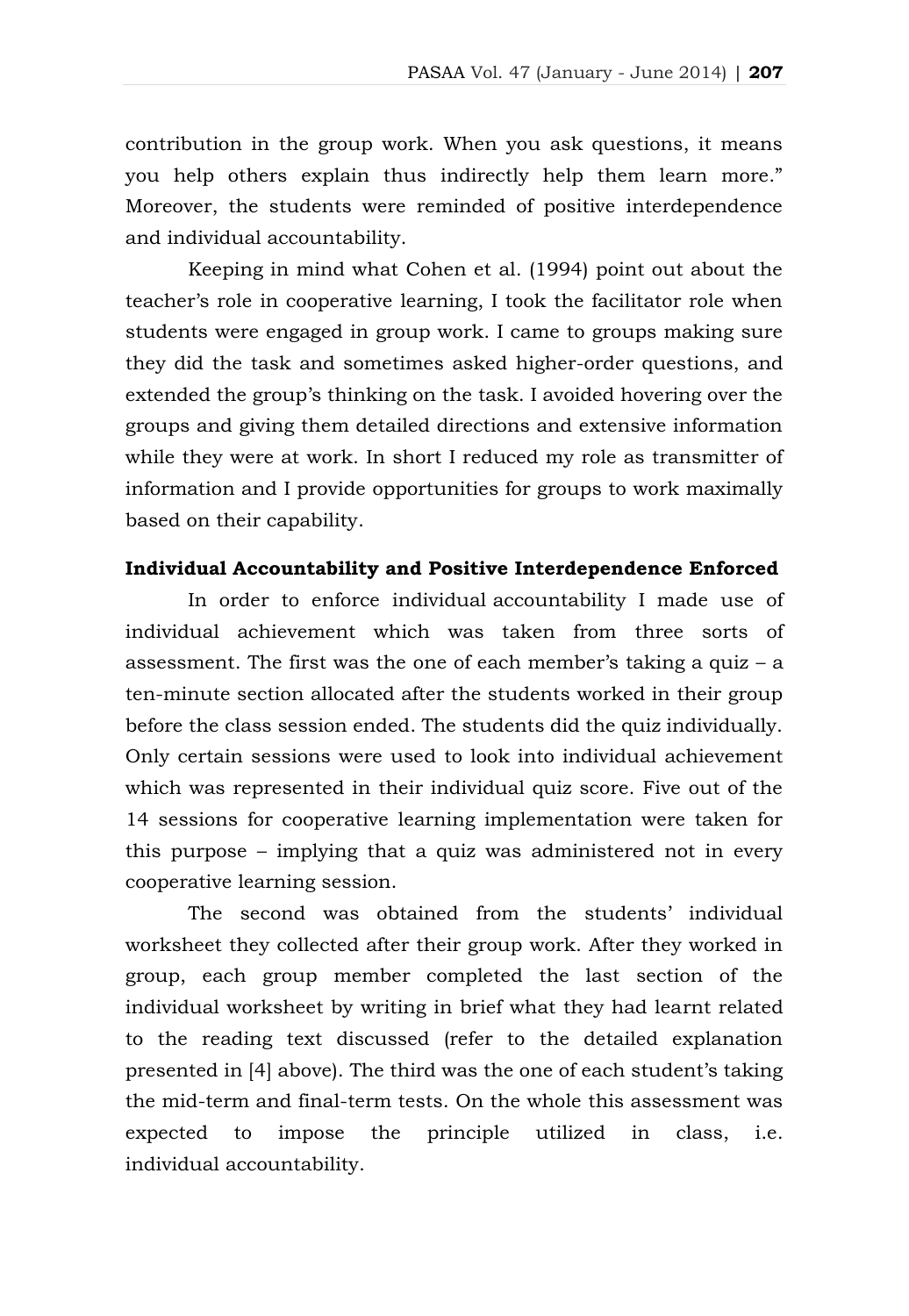contribution in the group work. When you ask questions, it means you help others explain thus indirectly help them learn more." Moreover, the students were reminded of positive interdependence and individual accountability.

Keeping in mind what Cohen et al. (1994) point out about the teacher's role in cooperative learning, I took the facilitator role when students were engaged in group work. I came to groups making sure they did the task and sometimes asked higher-order questions, and extended the group's thinking on the task. I avoided hovering over the groups and giving them detailed directions and extensive information while they were at work. In short I reduced my role as transmitter of information and I provide opportunities for groups to work maximally based on their capability.

# **Individual Accountability and Positive Interdependence Enforced**

In order to enforce individual accountability I made use of individual achievement which was taken from three sorts of assessment. The first was the one of each member's taking a quiz – a ten-minute section allocated after the students worked in their group before the class session ended. The students did the quiz individually. Only certain sessions were used to look into individual achievement which was represented in their individual quiz score. Five out of the 14 sessions for cooperative learning implementation were taken for this purpose – implying that a quiz was administered not in every cooperative learning session.

The second was obtained from the students' individual worksheet they collected after their group work. After they worked in group, each group member completed the last section of the individual worksheet by writing in brief what they had learnt related to the reading text discussed (refer to the detailed explanation presented in [4] above). The third was the one of each student's taking the mid-term and final-term tests. On the whole this assessment was expected to impose the principle utilized in class, i.e. individual accountability.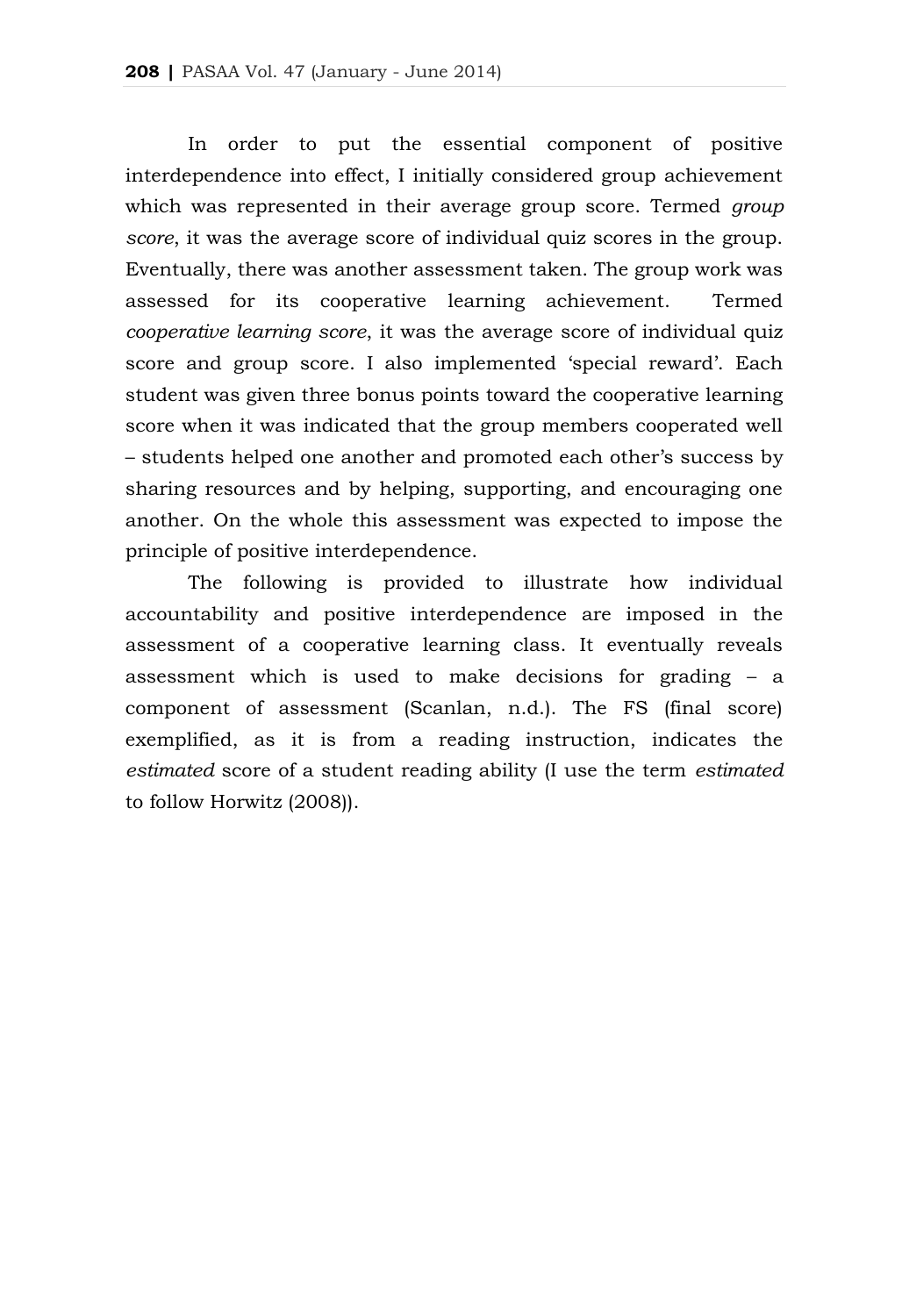In order to put the essential component of positive interdependence into effect, I initially considered group achievement which was represented in their average group score. Termed *group score*, it was the average score of individual quiz scores in the group. Eventually, there was another assessment taken. The group work was assessed for its cooperative learning achievement. Termed *cooperative learning score*, it was the average score of individual quiz score and group score. I also implemented 'special reward'. Each student was given three bonus points toward the cooperative learning score when it was indicated that the group members cooperated well – students helped one another and promoted each other's success by sharing resources and by helping, supporting, and encouraging one another. On the whole this assessment was expected to impose the principle of positive interdependence.

The following is provided to illustrate how individual accountability and positive interdependence are imposed in the assessment of a cooperative learning class. It eventually reveals assessment which is used to make decisions for grading – a component of assessment (Scanlan, n.d.). The FS (final score) exemplified, as it is from a reading instruction, indicates the *estimated* score of a student reading ability (I use the term *estimated* to follow Horwitz (2008)).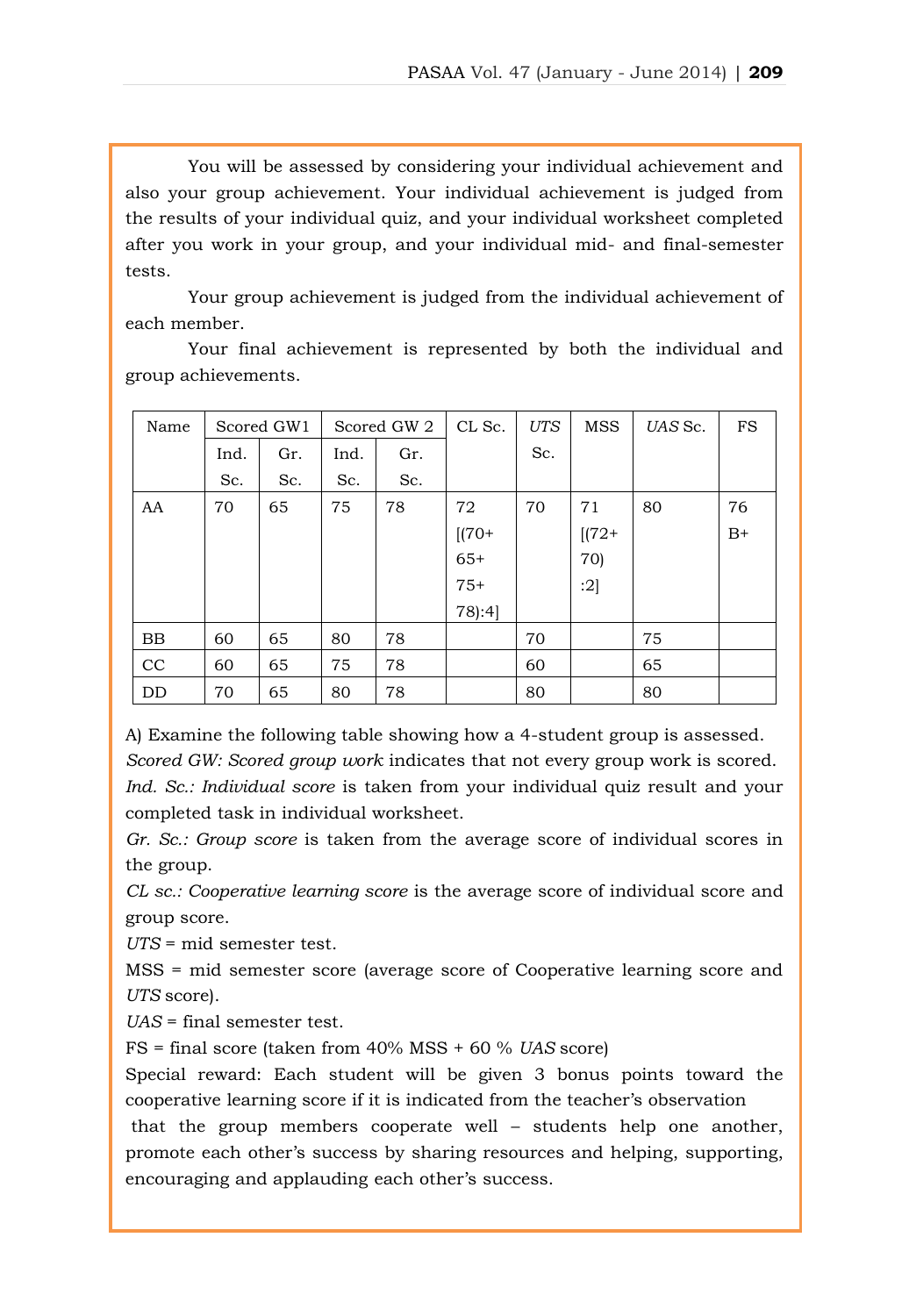You will be assessed by considering your individual achievement and also your group achievement. Your individual achievement is judged from the results of your individual quiz, and your individual worksheet completed after you work in your group, and your individual mid- and final-semester tests.

Your group achievement is judged from the individual achievement of each member.

Your final achievement is represented by both the individual and group achievements.

| Name | Scored GW1 |     | Scored GW 2 |     | CL Sc.  | <b>UTS</b> | <b>MSS</b> | UAS Sc. | FS   |
|------|------------|-----|-------------|-----|---------|------------|------------|---------|------|
|      | Ind.       | Gr. | Ind.        | Gr. |         | Sc.        |            |         |      |
|      | Sc.        | Sc. | Sc.         | Sc. |         |            |            |         |      |
| AA   | 70         | 65  | 75          | 78  | 72      | 70         | 71         | 80      | 76   |
|      |            |     |             |     | $[(70+$ |            | $[(72 +$   |         | $B+$ |
|      |            |     |             |     | $65+$   |            | 70)        |         |      |
|      |            |     |             |     | $75+$   |            | :2]        |         |      |
|      |            |     |             |     | 78):4]  |            |            |         |      |
| BB   | 60         | 65  | 80          | 78  |         | 70         |            | 75      |      |
| CC   | 60         | 65  | 75          | 78  |         | 60         |            | 65      |      |
| DD   | 70         | 65  | 80          | 78  |         | 80         |            | 80      |      |

A) Examine the following table showing how a 4-student group is assessed. *Scored GW: Scored group work* indicates that not every group work is scored. *Ind. Sc.: Individual score* is taken from your individual quiz result and your completed task in individual worksheet.

*Gr. Sc.: Group score* is taken from the average score of individual scores in the group.

*CL sc.: Cooperative learning score* is the average score of individual score and group score.

*UTS* = mid semester test.

MSS = mid semester score (average score of Cooperative learning score and *UTS* score).

*UAS* = final semester test.

FS = final score (taken from 40% MSS + 60 % *UAS* score)

Special reward: Each student will be given 3 bonus points toward the cooperative learning score if it is indicated from the teacher's observation that the group members cooperate well – students help one another, promote each other's success by sharing resources and helping, supporting,

encouraging and applauding each other's success.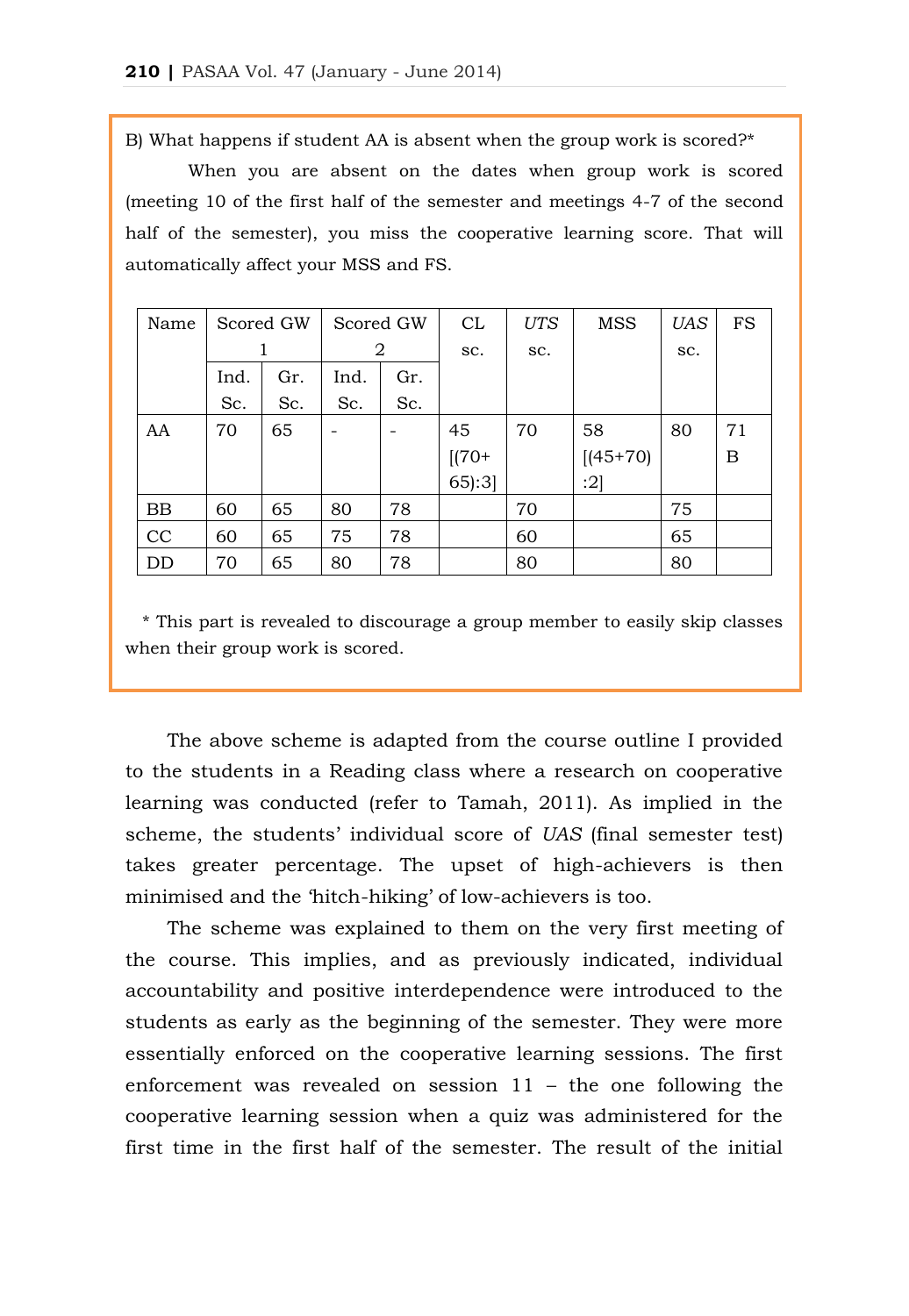B) What happens if student AA is absent when the group work is scored?\*

When you are absent on the dates when group work is scored (meeting 10 of the first half of the semester and meetings 4-7 of the second half of the semester), you miss the cooperative learning score. That will automatically affect your MSS and FS.

| Name | Scored GW |     | Scored GW |     | CL       | UTS | <b>MSS</b>  | UAS | <b>FS</b> |
|------|-----------|-----|-----------|-----|----------|-----|-------------|-----|-----------|
|      |           |     | 2         |     | SC.      | SC. |             | SC. |           |
|      | Ind.      | Gr. | Ind.      | Gr. |          |     |             |     |           |
|      | Sc.       | Sc. | Sc.       | Sc. |          |     |             |     |           |
| AA   | 70        | 65  |           |     | 45       | 70  | 58          | 80  | 71        |
|      |           |     |           |     | $[(70 +$ |     | $[(45+70)]$ |     | B         |
|      |           |     |           |     | 65:3     |     | :2]         |     |           |
| BB   | 60        | 65  | 80        | 78  |          | 70  |             | 75  |           |
| CC   | 60        | 65  | 75        | 78  |          | 60  |             | 65  |           |
| DD   | 70        | 65  | 80        | 78  |          | 80  |             | 80  |           |

 \* This part is revealed to discourage a group member to easily skip classes when their group work is scored.

The above scheme is adapted from the course outline I provided to the students in a Reading class where a research on cooperative learning was conducted (refer to Tamah, 2011). As implied in the scheme, the students' individual score of *UAS* (final semester test) takes greater percentage. The upset of high-achievers is then minimised and the 'hitch-hiking' of low-achievers is too.

The scheme was explained to them on the very first meeting of the course. This implies, and as previously indicated, individual accountability and positive interdependence were introduced to the students as early as the beginning of the semester. They were more essentially enforced on the cooperative learning sessions. The first enforcement was revealed on session 11 – the one following the cooperative learning session when a quiz was administered for the first time in the first half of the semester. The result of the initial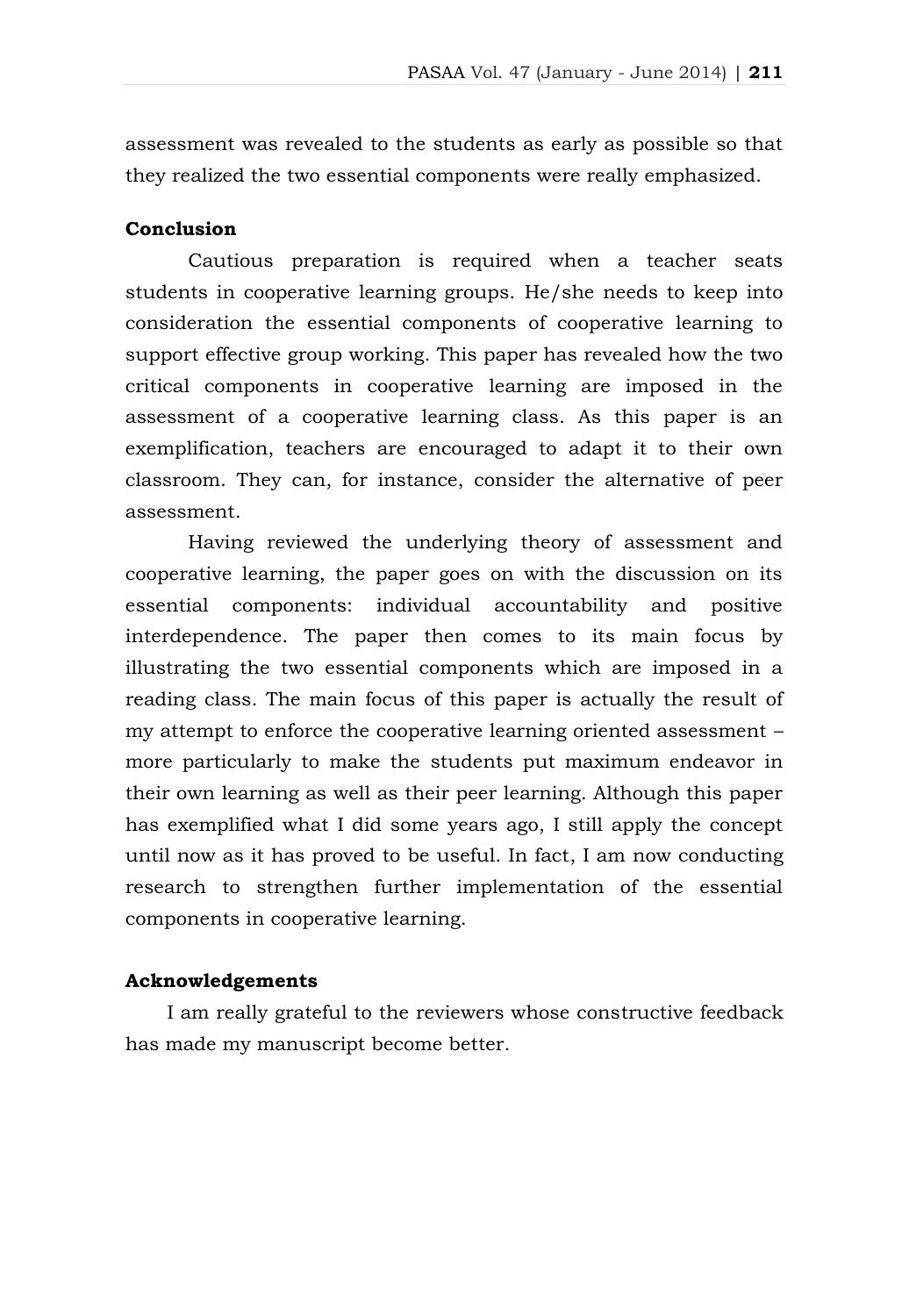assessment was revealed to the students as early as possible so that they realized the two essential components were really emphasized.

# **Conclusion**

Cautious preparation is required when a teacher seats students in cooperative learning groups. He/she needs to keep into consideration the essential components of cooperative learning to support effective group working. This paper has revealed how the two critical components in cooperative learning are imposed in the assessment of a cooperative learning class. As this paper is an exemplification, teachers are encouraged to adapt it to their own classroom. They can, for instance, consider the alternative of peer assessment.

Having reviewed the underlying theory of assessment and cooperative learning, the paper goes on with the discussion on its essential components: individual accountability and positive interdependence. The paper then comes to its main focus by illustrating the two essential components which are imposed in a reading class. The main focus of this paper is actually the result of my attempt to enforce the cooperative learning oriented assessment – more particularly to make the students put maximum endeavor in their own learning as well as their peer learning. Although this paper has exemplified what I did some years ago, I still apply the concept until now as it has proved to be useful. In fact, I am now conducting research to strengthen further implementation of the essential components in cooperative learning.

# **Acknowledgements**

I am really grateful to the reviewers whose constructive feedback has made my manuscript become better.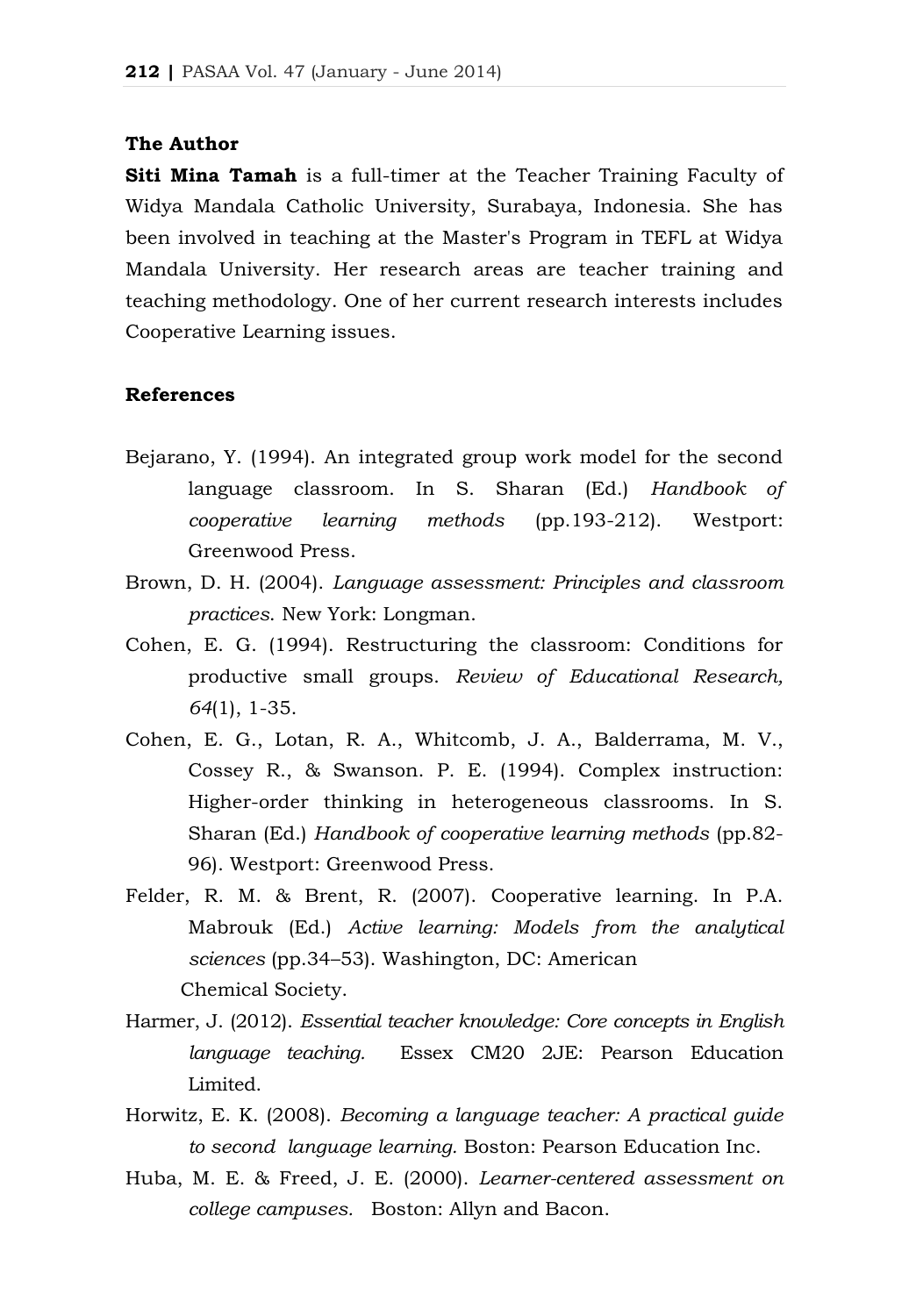#### **The Author**

**Siti Mina Tamah** is a full-timer at the Teacher Training Faculty of Widya Mandala Catholic University, Surabaya, Indonesia. She has been involved in teaching at the Master's Program in TEFL at Widya Mandala University. Her research areas are teacher training and teaching methodology. One of her current research interests includes Cooperative Learning issues.

#### **References**

- Bejarano, Y. (1994). An integrated group work model for the second language classroom. In S. Sharan (Ed.) *Handbook of cooperative learning methods* (pp.193-212). Westport: Greenwood Press.
- Brown, D. H. (2004). *Language assessment: Principles and classroom practices*. New York: Longman.
- Cohen, E. G. (1994). Restructuring the classroom: Conditions for productive small groups. *Review of Educational Research, 64*(1), 1-35.
- Cohen, E. G., Lotan, R. A., Whitcomb, J. A., Balderrama, M. V., Cossey R., & Swanson. P. E. (1994). Complex instruction: Higher-order thinking in heterogeneous classrooms. In S. Sharan (Ed.) *Handbook of cooperative learning methods* (pp.82- 96). Westport: Greenwood Press.
- Felder, R. M. & Brent, R. (2007). Cooperative learning. In P.A. Mabrouk (Ed.) *Active learning: Models from the analytical sciences* (pp.34–53). Washington, DC: American Chemical Society.
- Harmer, J. (2012). *Essential teacher knowledge: Core concepts in English language teaching.* Essex CM20 2JE: Pearson Education Limited.
- [Horwitz,](http://www.google.co.id/search?hl=id&tbo=p&tbm=bks&q=inauthor:%22Elaine+Kolker+Horwitz%22&source=gbs_metadata_r&cad=4) E. K. (2008). *Becoming a language teacher: A practical guide to second language learning.* Boston: Pearson Education Inc.
- Huba, M. E. & Freed, J. E. (2000). *Learner-centered assessment on college campuses.* Boston: Allyn and Bacon.